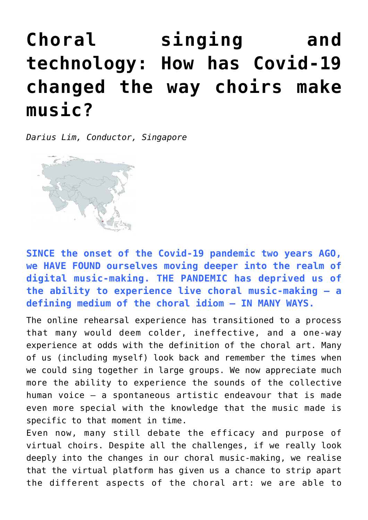## **[Choral singing and](http://icb.ifcm.net/choral-singing-and-technology-how-has-covid-19-changed-the-way-choirs-make-music/) [technology: How has Covid-19](http://icb.ifcm.net/choral-singing-and-technology-how-has-covid-19-changed-the-way-choirs-make-music/) [changed the way choirs make](http://icb.ifcm.net/choral-singing-and-technology-how-has-covid-19-changed-the-way-choirs-make-music/) [music?](http://icb.ifcm.net/choral-singing-and-technology-how-has-covid-19-changed-the-way-choirs-make-music/)**

*Darius Lim, Conductor, Singapore*



**SINCE the onset of the Covid-19 pandemic two years AGO, we HAVE FOUND ourselves moving deeper into the realm of digital music-making. THE PANDEMIC has deprived us of the ability to experience live choral music-making – a defining medium of the choral idiom – IN MANY WAYS.**

The online rehearsal experience has transitioned to a process that many would deem colder, ineffective, and a one-way experience at odds with the definition of the choral art. Many of us (including myself) look back and remember the times when we could sing together in large groups. We now appreciate much more the ability to experience the sounds of the collective human voice – a spontaneous artistic endeavour that is made even more special with the knowledge that the music made is specific to that moment in time.

Even now, many still debate the efficacy and purpose of virtual choirs. Despite all the challenges, if we really look deeply into the changes in our choral music-making, we realise that the virtual platform has given us a chance to strip apart the different aspects of the choral art: we are able to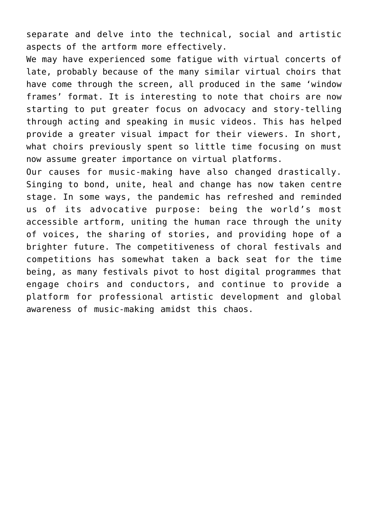separate and delve into the technical, social and artistic aspects of the artform more effectively.

We may have experienced some fatique with virtual concerts of late, probably because of the many similar virtual choirs that have come through the screen, all produced in the same 'window frames' format. It is interesting to note that choirs are now starting to put greater focus on advocacy and story-telling through acting and speaking in music videos. This has helped provide a greater visual impact for their viewers. In short, what choirs previously spent so little time focusing on must now assume greater importance on virtual platforms.

Our causes for music-making have also changed drastically. Singing to bond, unite, heal and change has now taken centre stage. In some ways, the pandemic has refreshed and reminded us of its advocative purpose: being the world's most accessible artform, uniting the human race through the unity of voices, the sharing of stories, and providing hope of a brighter future. The competitiveness of choral festivals and competitions has somewhat taken a back seat for the time being, as many festivals pivot to host digital programmes that engage choirs and conductors, and continue to provide a platform for professional artistic development and global awareness of music-making amidst this chaos.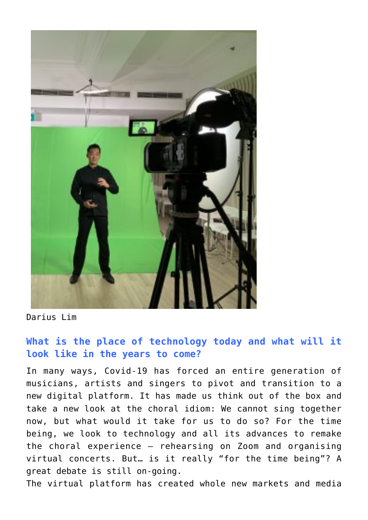

Darius Lim

## **What is the place of technology today and what will it look like in the years to come?**

In many ways, Covid-19 has forced an entire generation of musicians, artists and singers to pivot and transition to a new digital platform. It has made us think out of the box and take a new look at the choral idiom: We cannot sing together now, but what would it take for us to do so? For the time being, we look to technology and all its advances to remake the choral experience – rehearsing on Zoom and organising virtual concerts. But… is it really "for the time being"? A great debate is still on-going.

The virtual platform has created whole new markets and media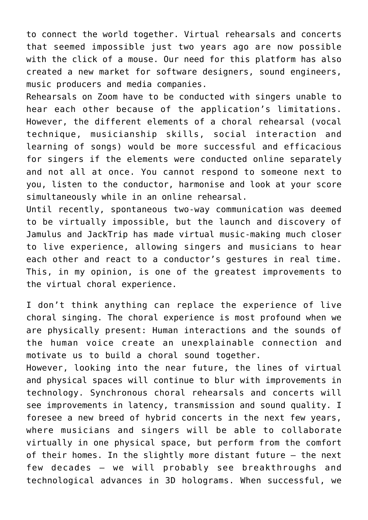to connect the world together. Virtual rehearsals and concerts that seemed impossible just two years ago are now possible with the click of a mouse. Our need for this platform has also created a new market for software designers, sound engineers, music producers and media companies.

Rehearsals on Zoom have to be conducted with singers unable to hear each other because of the application's limitations. However, the different elements of a choral rehearsal (vocal technique, musicianship skills, social interaction and learning of songs) would be more successful and efficacious for singers if the elements were conducted online separately and not all at once. You cannot respond to someone next to you, listen to the conductor, harmonise and look at your score simultaneously while in an online rehearsal.

Until recently, spontaneous two-way communication was deemed to be virtually impossible, but the launch and discovery of Jamulus and JackTrip has made virtual music-making much closer to live experience, allowing singers and musicians to hear each other and react to a conductor's gestures in real time. This, in my opinion, is one of the greatest improvements to the virtual choral experience.

I don't think anything can replace the experience of live choral singing. The choral experience is most profound when we are physically present: Human interactions and the sounds of the human voice create an unexplainable connection and motivate us to build a choral sound together.

However, looking into the near future, the lines of virtual and physical spaces will continue to blur with improvements in technology. Synchronous choral rehearsals and concerts will see improvements in latency, transmission and sound quality. I foresee a new breed of hybrid concerts in the next few years, where musicians and singers will be able to collaborate virtually in one physical space, but perform from the comfort of their homes. In the slightly more distant future – the next few decades — we will probably see breakthroughs and technological advances in 3D holograms. When successful, we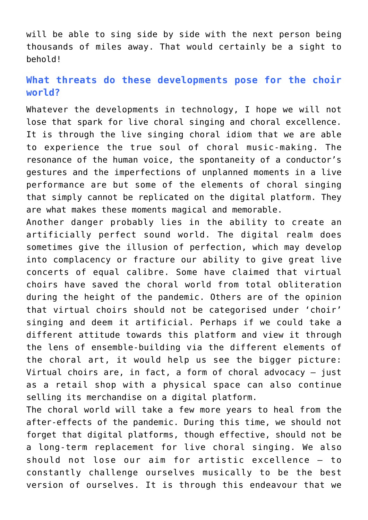will be able to sing side by side with the next person being thousands of miles away. That would certainly be a sight to behold!

## **What threats do these developments pose for the choir world?**

Whatever the developments in technology, I hope we will not lose that spark for live choral singing and choral excellence. It is through the live singing choral idiom that we are able to experience the true soul of choral music-making. The resonance of the human voice, the spontaneity of a conductor's gestures and the imperfections of unplanned moments in a live performance are but some of the elements of choral singing that simply cannot be replicated on the digital platform. They are what makes these moments magical and memorable.

Another danger probably lies in the ability to create an artificially perfect sound world. The digital realm does sometimes give the illusion of perfection, which may develop into complacency or fracture our ability to give great live concerts of equal calibre. Some have claimed that virtual choirs have saved the choral world from total obliteration during the height of the pandemic. Others are of the opinion that virtual choirs should not be categorised under 'choir' singing and deem it artificial. Perhaps if we could take a different attitude towards this platform and view it through the lens of ensemble-building via the different elements of the choral art, it would help us see the bigger picture: Virtual choirs are, in fact, a form of choral advocacy – just as a retail shop with a physical space can also continue selling its merchandise on a digital platform.

The choral world will take a few more years to heal from the after-effects of the pandemic. During this time, we should not forget that digital platforms, though effective, should not be a long-term replacement for live choral singing. We also should not lose our aim for artistic excellence – to constantly challenge ourselves musically to be the best version of ourselves. It is through this endeavour that we